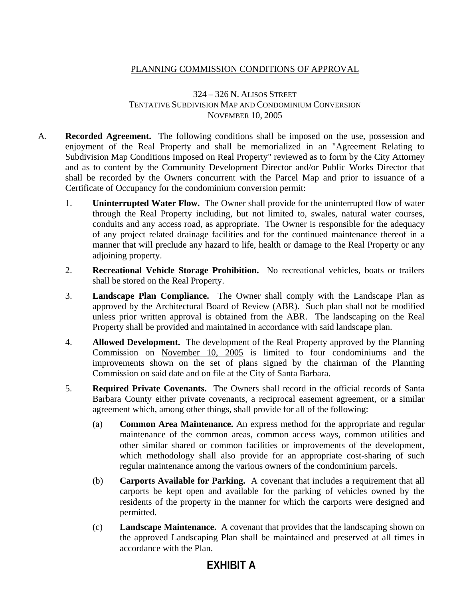## PLANNING COMMISSION CONDITIONS OF APPROVAL

## 324 – 326 N. ALISOS STREET TENTATIVE SUBDIVISION MAP AND CONDOMINIUM CONVERSION NOVEMBER 10, 2005

- A. **Recorded Agreement.** The following conditions shall be imposed on the use, possession and enjoyment of the Real Property and shall be memorialized in an "Agreement Relating to Subdivision Map Conditions Imposed on Real Property" reviewed as to form by the City Attorney and as to content by the Community Development Director and/or Public Works Director that shall be recorded by the Owners concurrent with the Parcel Map and prior to issuance of a Certificate of Occupancy for the condominium conversion permit:
	- 1. **Uninterrupted Water Flow.** The Owner shall provide for the uninterrupted flow of water through the Real Property including, but not limited to, swales, natural water courses, conduits and any access road, as appropriate. The Owner is responsible for the adequacy of any project related drainage facilities and for the continued maintenance thereof in a manner that will preclude any hazard to life, health or damage to the Real Property or any adjoining property.
	- 2. **Recreational Vehicle Storage Prohibition.** No recreational vehicles, boats or trailers shall be stored on the Real Property.
	- 3. **Landscape Plan Compliance.** The Owner shall comply with the Landscape Plan as approved by the Architectural Board of Review (ABR). Such plan shall not be modified unless prior written approval is obtained from the ABR. The landscaping on the Real Property shall be provided and maintained in accordance with said landscape plan.
	- 4. **Allowed Development.** The development of the Real Property approved by the Planning Commission on November 10, 2005 is limited to four condominiums and the improvements shown on the set of plans signed by the chairman of the Planning Commission on said date and on file at the City of Santa Barbara.
	- 5. **Required Private Covenants.** The Owners shall record in the official records of Santa Barbara County either private covenants, a reciprocal easement agreement, or a similar agreement which, among other things, shall provide for all of the following:
		- (a) **Common Area Maintenance.** An express method for the appropriate and regular maintenance of the common areas, common access ways, common utilities and other similar shared or common facilities or improvements of the development, which methodology shall also provide for an appropriate cost-sharing of such regular maintenance among the various owners of the condominium parcels.
		- (b) **Carports Available for Parking.** A covenant that includes a requirement that all carports be kept open and available for the parking of vehicles owned by the residents of the property in the manner for which the carports were designed and permitted.
		- (c) **Landscape Maintenance.** A covenant that provides that the landscaping shown on the approved Landscaping Plan shall be maintained and preserved at all times in accordance with the Plan.

## **EXHIBIT A**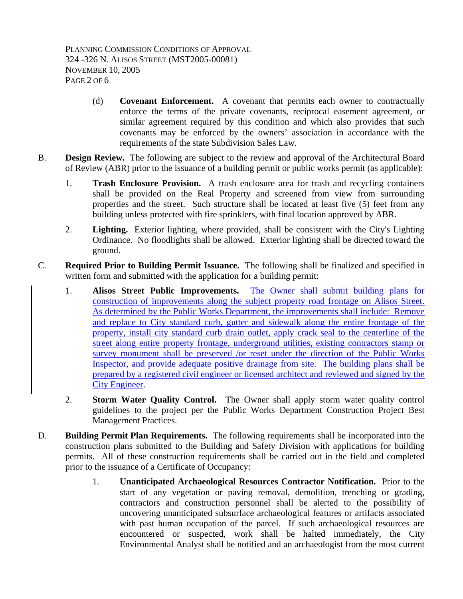- (d) **Covenant Enforcement.** A covenant that permits each owner to contractually enforce the terms of the private covenants, reciprocal easement agreement, or similar agreement required by this condition and which also provides that such covenants may be enforced by the owners' association in accordance with the requirements of the state Subdivision Sales Law.
- B. **Design Review.** The following are subject to the review and approval of the Architectural Board of Review (ABR) prior to the issuance of a building permit or public works permit (as applicable):
	- 1. **Trash Enclosure Provision.** A trash enclosure area for trash and recycling containers shall be provided on the Real Property and screened from view from surrounding properties and the street. Such structure shall be located at least five (5) feet from any building unless protected with fire sprinklers, with final location approved by ABR.
	- 2. **Lighting.** Exterior lighting, where provided, shall be consistent with the City's Lighting Ordinance. No floodlights shall be allowed. Exterior lighting shall be directed toward the ground.
- C. **Required Prior to Building Permit Issuance.** The following shall be finalized and specified in written form and submitted with the application for a building permit:
	- 1. **Alisos Street Public Improvements.** The Owner shall submit building plans for construction of improvements along the subject property road frontage on Alisos Street. As determined by the Public Works Department, the improvements shall include: Remove and replace to City standard curb, gutter and sidewalk along the entire frontage of the property, install city standard curb drain outlet, apply crack seal to the centerline of the street along entire property frontage, underground utilities, existing contractors stamp or survey monument shall be preserved /or reset under the direction of the Public Works Inspector, and provide adequate positive drainage from site. The building plans shall be prepared by a registered civil engineer or licensed architect and reviewed and signed by the City Engineer.
	- 2. **Storm Water Quality Control.** The Owner shall apply storm water quality control guidelines to the project per the Public Works Department Construction Project Best Management Practices.
- D. **Building Permit Plan Requirements.** The following requirements shall be incorporated into the construction plans submitted to the Building and Safety Division with applications for building permits. All of these construction requirements shall be carried out in the field and completed prior to the issuance of a Certificate of Occupancy:
	- 1. **Unanticipated Archaeological Resources Contractor Notification.** Prior to the start of any vegetation or paving removal, demolition, trenching or grading, contractors and construction personnel shall be alerted to the possibility of uncovering unanticipated subsurface archaeological features or artifacts associated with past human occupation of the parcel. If such archaeological resources are encountered or suspected, work shall be halted immediately, the City Environmental Analyst shall be notified and an archaeologist from the most current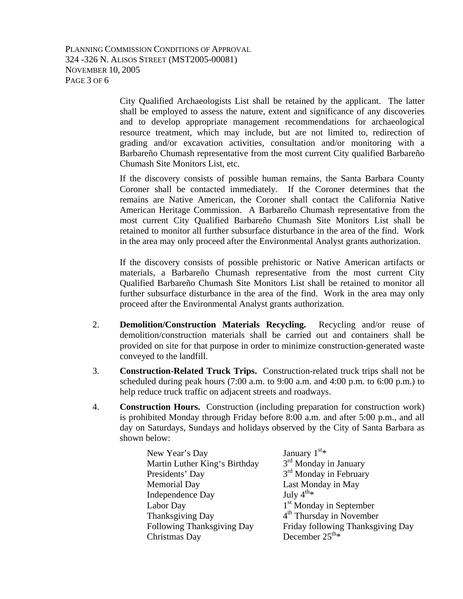PLANNING COMMISSION CONDITIONS OF APPROVAL 324 -326 N. ALISOS STREET (MST2005-00081) NOVEMBER 10, 2005 PAGE 3 OF 6

> City Qualified Archaeologists List shall be retained by the applicant. The latter shall be employed to assess the nature, extent and significance of any discoveries and to develop appropriate management recommendations for archaeological resource treatment, which may include, but are not limited to, redirection of grading and/or excavation activities, consultation and/or monitoring with a Barbareño Chumash representative from the most current City qualified Barbareño Chumash Site Monitors List, etc.

> If the discovery consists of possible human remains, the Santa Barbara County Coroner shall be contacted immediately. If the Coroner determines that the remains are Native American, the Coroner shall contact the California Native American Heritage Commission. A Barbareño Chumash representative from the most current City Qualified Barbareño Chumash Site Monitors List shall be retained to monitor all further subsurface disturbance in the area of the find. Work in the area may only proceed after the Environmental Analyst grants authorization.

> If the discovery consists of possible prehistoric or Native American artifacts or materials, a Barbareño Chumash representative from the most current City Qualified Barbareño Chumash Site Monitors List shall be retained to monitor all further subsurface disturbance in the area of the find. Work in the area may only proceed after the Environmental Analyst grants authorization.

- 2. **Demolition/Construction Materials Recycling.** Recycling and/or reuse of demolition/construction materials shall be carried out and containers shall be provided on site for that purpose in order to minimize construction-generated waste conveyed to the landfill.
- 3. **Construction-Related Truck Trips.** Construction-related truck trips shall not be scheduled during peak hours  $(7:00 \text{ a.m. to } 9:00 \text{ a.m. and } 4:00 \text{ p.m. to } 6:00 \text{ p.m.})$  to help reduce truck traffic on adjacent streets and roadways.
- 4. **Construction Hours.** Construction (including preparation for construction work) is prohibited Monday through Friday before 8:00 a.m. and after 5:00 p.m., and all day on Saturdays, Sundays and holidays observed by the City of Santa Barbara as shown below:

| New Year's Day                | January $1st$ *                      |
|-------------------------------|--------------------------------------|
| Martin Luther King's Birthday | $3rd$ Monday in January              |
| Presidents' Day               | 3 <sup>rd</sup> Monday in February   |
| <b>Memorial Day</b>           | Last Monday in May                   |
| <b>Independence Day</b>       | July $4^{th*}$                       |
| Labor Day                     | 1 <sup>st</sup> Monday in September  |
| Thanksgiving Day              | 4 <sup>th</sup> Thursday in November |
| Following Thanksgiving Day    | Friday following Thanksgiving Day    |
| Christmas Day                 | December $25^{\text{th}_{*}}$        |
|                               |                                      |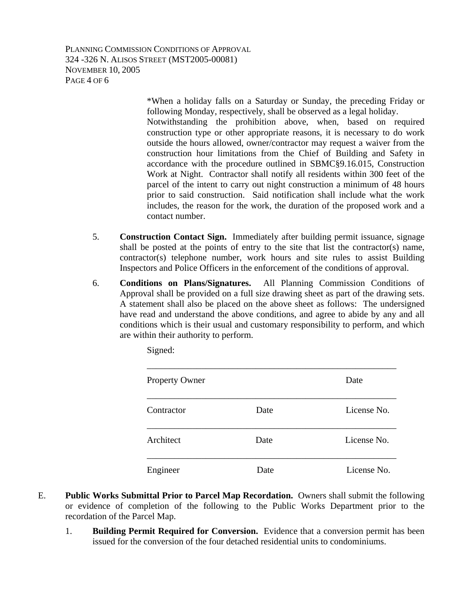PLANNING COMMISSION CONDITIONS OF APPROVAL 324 -326 N. ALISOS STREET (MST2005-00081) NOVEMBER 10, 2005 PAGE 4 OF 6

> \*When a holiday falls on a Saturday or Sunday, the preceding Friday or following Monday, respectively, shall be observed as a legal holiday. Notwithstanding the prohibition above, when, based on required construction type or other appropriate reasons, it is necessary to do work outside the hours allowed, owner/contractor may request a waiver from the construction hour limitations from the Chief of Building and Safety in accordance with the procedure outlined in SBMC§9.16.015, Construction Work at Night. Contractor shall notify all residents within 300 feet of the parcel of the intent to carry out night construction a minimum of 48 hours prior to said construction. Said notification shall include what the work includes, the reason for the work, the duration of the proposed work and a contact number.

- 5. **Construction Contact Sign.** Immediately after building permit issuance, signage shall be posted at the points of entry to the site that list the contractor(s) name, contractor(s) telephone number, work hours and site rules to assist Building Inspectors and Police Officers in the enforcement of the conditions of approval.
- 6. **Conditions on Plans/Signatures.** All Planning Commission Conditions of Approval shall be provided on a full size drawing sheet as part of the drawing sets. A statement shall also be placed on the above sheet as follows: The undersigned have read and understand the above conditions, and agree to abide by any and all conditions which is their usual and customary responsibility to perform, and which are within their authority to perform.

| Property Owner |      | Date        |
|----------------|------|-------------|
| Contractor     | Date | License No. |
| Architect      | Date | License No. |
| Engineer       | Date | License No. |

Signed:

- E. **Public Works Submittal Prior to Parcel Map Recordation.** Owners shall submit the following or evidence of completion of the following to the Public Works Department prior to the recordation of the Parcel Map.
	- 1. **Building Permit Required for Conversion.** Evidence that a conversion permit has been issued for the conversion of the four detached residential units to condominiums.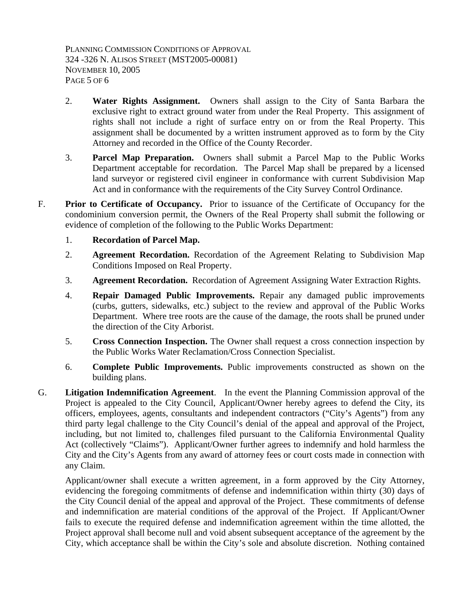PLANNING COMMISSION CONDITIONS OF APPROVAL 324 -326 N. ALISOS STREET (MST2005-00081) NOVEMBER 10, 2005 PAGE 5 OF 6

- 2. **Water Rights Assignment.** Owners shall assign to the City of Santa Barbara the exclusive right to extract ground water from under the Real Property. This assignment of rights shall not include a right of surface entry on or from the Real Property. This assignment shall be documented by a written instrument approved as to form by the City Attorney and recorded in the Office of the County Recorder.
- 3. **Parcel Map Preparation.** Owners shall submit a Parcel Map to the Public Works Department acceptable for recordation. The Parcel Map shall be prepared by a licensed land surveyor or registered civil engineer in conformance with current Subdivision Map Act and in conformance with the requirements of the City Survey Control Ordinance.
- F. **Prior to Certificate of Occupancy.** Prior to issuance of the Certificate of Occupancy for the condominium conversion permit, the Owners of the Real Property shall submit the following or evidence of completion of the following to the Public Works Department:
	- 1. **Recordation of Parcel Map.**
	- 2. **Agreement Recordation.** Recordation of the Agreement Relating to Subdivision Map Conditions Imposed on Real Property.
	- 3. **Agreement Recordation.** Recordation of Agreement Assigning Water Extraction Rights.
	- 4. **Repair Damaged Public Improvements.** Repair any damaged public improvements (curbs, gutters, sidewalks, etc.) subject to the review and approval of the Public Works Department. Where tree roots are the cause of the damage, the roots shall be pruned under the direction of the City Arborist.
	- 5. **Cross Connection Inspection.** The Owner shall request a cross connection inspection by the Public Works Water Reclamation/Cross Connection Specialist.
	- 6. **Complete Public Improvements.** Public improvements constructed as shown on the building plans.
- G. **Litigation Indemnification Agreement**. In the event the Planning Commission approval of the Project is appealed to the City Council, Applicant/Owner hereby agrees to defend the City, its officers, employees, agents, consultants and independent contractors ("City's Agents") from any third party legal challenge to the City Council's denial of the appeal and approval of the Project, including, but not limited to, challenges filed pursuant to the California Environmental Quality Act (collectively "Claims"). Applicant/Owner further agrees to indemnify and hold harmless the City and the City's Agents from any award of attorney fees or court costs made in connection with any Claim.

Applicant/owner shall execute a written agreement, in a form approved by the City Attorney, evidencing the foregoing commitments of defense and indemnification within thirty (30) days of the City Council denial of the appeal and approval of the Project. These commitments of defense and indemnification are material conditions of the approval of the Project. If Applicant/Owner fails to execute the required defense and indemnification agreement within the time allotted, the Project approval shall become null and void absent subsequent acceptance of the agreement by the City, which acceptance shall be within the City's sole and absolute discretion. Nothing contained